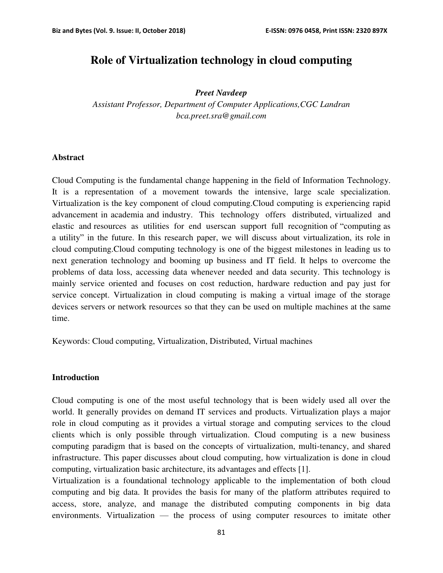# **Role of Virtualization technology in cloud computing**

#### *Preet Navdeep*

*Assistant Professor, Department of Computer Applications,CGC Landran bca.preet.sra@gmail.com* 

#### **Abstract**

Cloud Computing is the fundamental change happening in the field of Information Technology. It is a representation of a movement towards the intensive, large scale specialization. Virtualization is the key component of cloud computing.Cloud computing is experiencing rapid advancement in academia and industry. This technology offers distributed, virtualized and elastic and resources as utilities for end userscan support full recognition of "computing as a utility" in the future. In this research paper, we will discuss about virtualization, its role in cloud computing.Cloud computing technology is one of the biggest milestones in leading us to next generation technology and booming up business and IT field. It helps to overcome the problems of data loss, accessing data whenever needed and data security. This technology is mainly service oriented and focuses on cost reduction, hardware reduction and pay just for service concept. Virtualization in cloud computing is making a virtual image of the storage devices servers or network resources so that they can be used on multiple machines at the same time.

Keywords: Cloud computing, Virtualization, Distributed, Virtual machines

#### **Introduction**

Cloud computing is one of the most useful technology that is been widely used all over the world. It generally provides on demand IT services and products. Virtualization plays a major role in cloud computing as it provides a virtual storage and computing services to the cloud clients which is only possible through virtualization. Cloud computing is a new business computing paradigm that is based on the concepts of virtualization, multi-tenancy, and shared infrastructure. This paper discusses about cloud computing, how virtualization is done in cloud computing, virtualization basic architecture, its advantages and effects [1].

Virtualization is a foundational technology applicable to the implementation of both cloud computing and big data. It provides the basis for many of the platform attributes required to access, store, analyze, and manage the distributed computing components in big data environments. Virtualization — the process of using computer resources to imitate other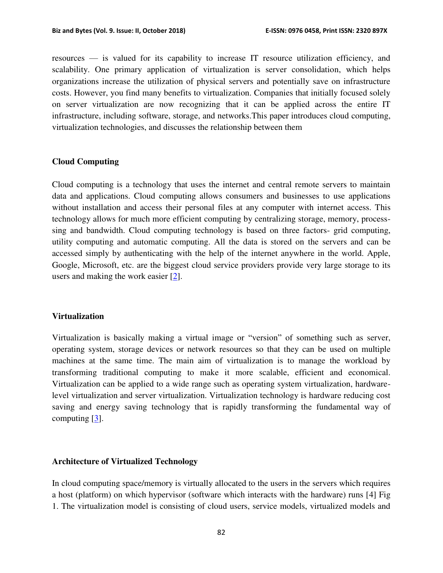resources — is valued for its capability to increase IT resource utilization efficiency, and scalability. One primary application of virtualization is server consolidation, which helps organizations increase the utilization of physical servers and potentially save on infrastructure costs. However, you find many benefits to virtualization. Companies that initially focused solely on server virtualization are now recognizing that it can be applied across the entire IT infrastructure, including software, storage, and networks.This paper introduces cloud computing, virtualization technologies, and discusses the relationship between them

#### **Cloud Computing**

Cloud computing is a technology that uses the internet and central remote servers to maintain data and applications. Cloud computing allows consumers and businesses to use applications without installation and access their personal files at any computer with internet access. This technology allows for much more efficient computing by centralizing storage, memory, processsing and bandwidth. Cloud computing technology is based on three factors- grid computing, utility computing and automatic computing. All the data is stored on the servers and can be accessed simply by authenticating with the help of the internet anywhere in the world. Apple, Google, Microsoft, etc. are the biggest cloud service providers provide very large storage to its users and making the work easier [\[2\]](https://www.omicsonline.org/open-access/virtualization-in-cloud-computing-2165-7866-1000136.php?aid=44684#2).

#### **Virtualization**

Virtualization is basically making a virtual image or "version" of something such as server, operating system, storage devices or network resources so that they can be used on multiple machines at the same time. The main aim of virtualization is to manage the workload by transforming traditional computing to make it more scalable, efficient and economical. Virtualization can be applied to a wide range such as operating system virtualization, hardwarelevel virtualization and server virtualization. Virtualization technology is hardware reducing cost saving and energy saving technology that is rapidly transforming the fundamental way of computing  $[3]$ .

#### **Architecture of Virtualized Technology**

In cloud computing space/memory is virtually allocated to the users in the servers which requires a host (platform) on which hypervisor (software which interacts with the hardware) runs [\[4\]](https://www.omicsonline.org/open-access/virtualization-in-cloud-computing-2165-7866-1000136.php?aid=44684#4) Fig 1. The virtualization model is consisting of cloud users, service models, virtualized models and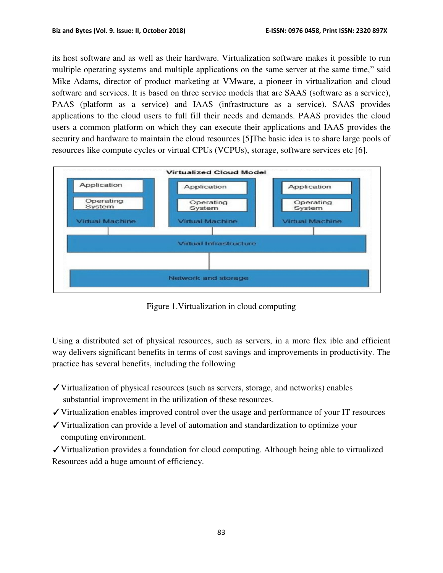its host software and as well as their hardware. Virtualization software makes it possible to run multiple operating systems and multiple applications on the same server at the same time," said Mike Adams, director of product marketing at VMware, a pioneer in virtualization and cloud software and services. It is based on three service models that are SAAS (software as a service), PAAS (platform as a service) and IAAS (infrastructure as a service). SAAS provides applications to the cloud users to full fill their needs and demands. PAAS provides the cloud users a common platform on which they can execute their applications and IAAS provides the security and hardware to maintain the cloud resources [\[5\]](https://www.omicsonline.org/open-access/virtualization-in-cloud-computing-2165-7866-1000136.php?aid=44684#5)The basic idea is to share large pools of resources like compute cycles or virtual CPUs (VCPUs), storage, software services etc [\[6\]](https://www.omicsonline.org/open-access/virtualization-in-cloud-computing-2165-7866-1000136.php?aid=44684#6).



Figure 1.Virtualization in cloud computing

Using a distributed set of physical resources, such as servers, in a more flex ible and efficient way delivers significant benefits in terms of cost savings and improvements in productivity. The practice has several benefits, including the following

- ✓Virtualization of physical resources (such as servers, storage, and networks) enables substantial improvement in the utilization of these resources.
- ✓Virtualization enables improved control over the usage and performance of your IT resources
- ✓Virtualization can provide a level of automation and standardization to optimize your computing environment.

✓Virtualization provides a foundation for cloud computing. Although being able to virtualized Resources add a huge amount of efficiency.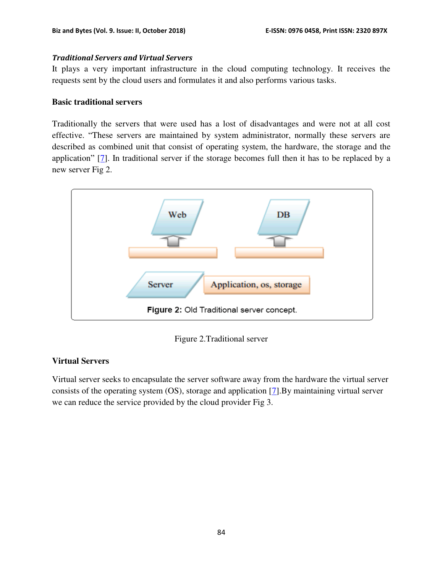# *Traditional Servers and Virtual Servers*

It plays a very important infrastructure in the cloud computing technology. It receives the requests sent by the cloud users and formulates it and also performs various tasks.

# **Basic traditional servers**

Traditionally the servers that were used has a lost of disadvantages and were not at all cost effective. "These servers are maintained by system administrator, normally these servers are described as combined unit that consist of operating system, the hardware, the storage and the application" [\[7\]](https://www.omicsonline.org/open-access/virtualization-in-cloud-computing-2165-7866-1000136.php?aid=44684#7). In traditional server if the storage becomes full then it has to be replaced by a new server Fig 2.



Figure 2.Traditional server

# **Virtual Servers**

Virtual server seeks to encapsulate the server software away from the hardware the virtual server consists of the operating system (OS), storage and application [\[7\]](https://www.omicsonline.org/open-access/virtualization-in-cloud-computing-2165-7866-1000136.php?aid=44684#7).By maintaining virtual server we can reduce the service provided by the cloud provider Fig 3.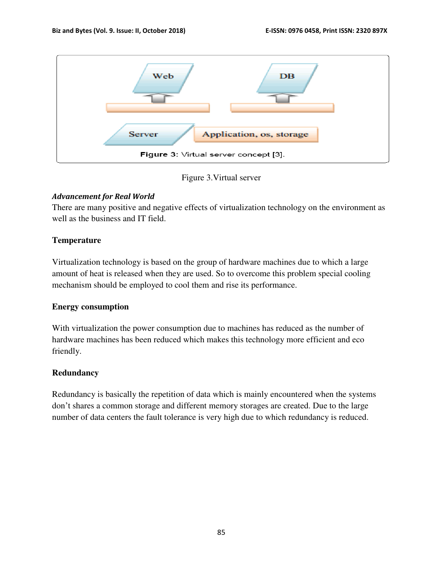

Figure 3.Virtual server

# *Advancement for Real World*

There are many positive and negative effects of virtualization technology on the environment as well as the business and IT field.

# **Temperature**

Virtualization technology is based on the group of hardware machines due to which a large amount of heat is released when they are used. So to overcome this problem special cooling mechanism should be employed to cool them and rise its performance.

# **Energy consumption**

With virtualization the power consumption due to machines has reduced as the number of hardware machines has been reduced which makes this technology more efficient and eco friendly.

# **Redundancy**

Redundancy is basically the repetition of data which is mainly encountered when the systems don't shares a common storage and different memory storages are created. Due to the large number of data centers the fault tolerance is very high due to which redundancy is reduced.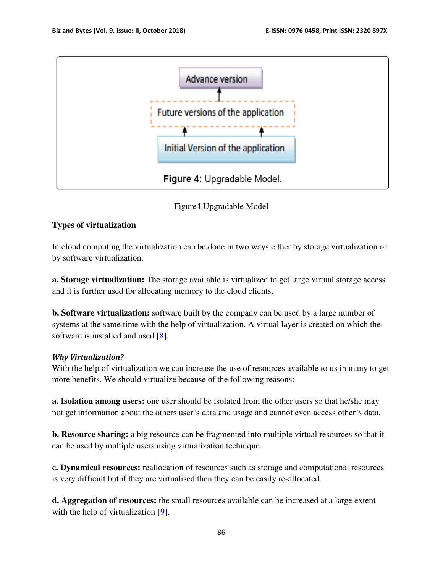



# **Types of virtualization**

In cloud computing the virtualization can be done in two ways either by storage virtualization or by software virtualization.

**a. Storage virtualization:** The storage available is virtualized to get large virtual storage access and it is further used for allocating memory to the cloud clients.

**b. Software virtualization:** software built by the company can be used by a large number of systems at the same time with the help of virtualization. A virtual layer is created on which the software is installed and used [\[8\]](https://www.omicsonline.org/open-access/virtualization-in-cloud-computing-2165-7866-1000136.php?aid=44684#8).

# *Why Virtualization?*

With the help of virtualization we can increase the use of resources available to us in many to get more benefits. We should virtualize because of the following reasons:

**a. Isolation among users:** one user should be isolated from the other users so that he/she may not get information about the others user's data and usage and cannot even access other's data.

**b. Resource sharing:** a big resource can be fragmented into multiple virtual resources so that it can be used by multiple users using virtualization technique.

**c. Dynamical resources:** reallocation of resources such as storage and computational resources is very difficult but if they are virtualised then they can be easily re-allocated.

**d. Aggregation of resources:** the small resources available can be increased at a large extent with the help of virtualization  $[9]$ .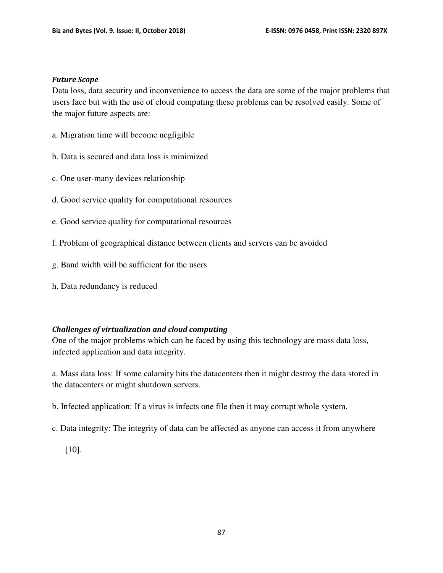#### *Future Scope*

Data loss, data security and inconvenience to access the data are some of the major problems that users face but with the use of cloud computing these problems can be resolved easily. Some of the major future aspects are:

- a. Migration time will become negligible
- b. Data is secured and data loss is minimized
- c. One user-many devices relationship
- d. Good service quality for computational resources
- e. Good service quality for computational resources
- f. Problem of geographical distance between clients and servers can be avoided
- g. Band width will be sufficient for the users
- h. Data redundancy is reduced

# *Challenges of virtualization and cloud computing*

One of the major problems which can be faced by using this technology are mass data loss, infected application and data integrity.

a. Mass data loss: If some calamity hits the datacenters then it might destroy the data stored in the datacenters or might shutdown servers.

- b. Infected application: If a virus is infects one file then it may corrupt whole system.
- c. Data integrity: The integrity of data can be affected as anyone can access it from anywhere
	- [10].